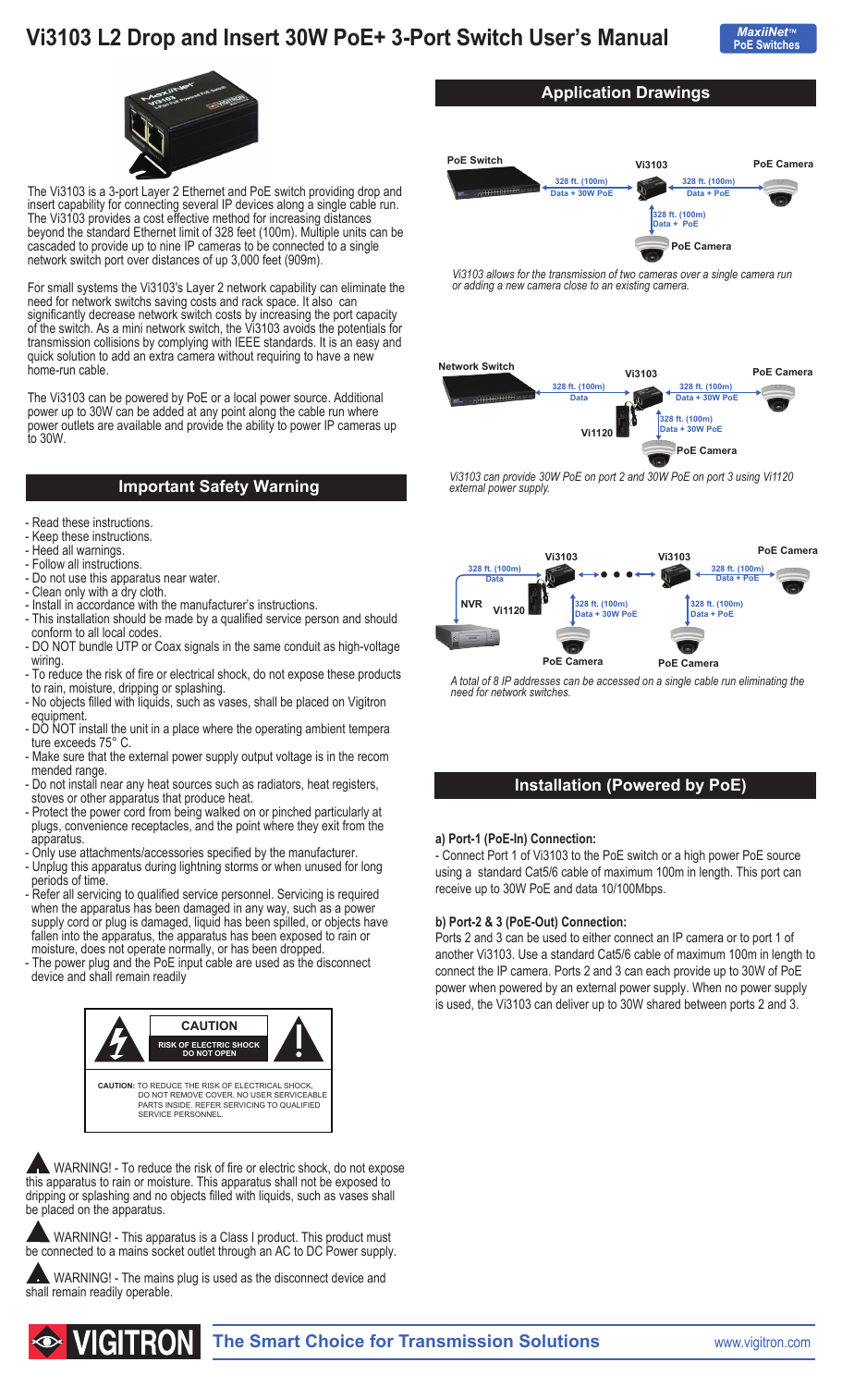# **Vi3103 L2 Drop and Insert 30W PoE+ 3-Port Switch User's Manual**





The Vi3103 is a 3-port Layer 2 Ethernet and PoE switch providing drop and insert capability for connecting several IP devices along a single cable run. The Vi3103 provides a cost effective method for increasing distances beyond the standard Ethernet limit of 328 feet (100m). Multiple units can be cascaded to provide up to nine IP cameras to be connected to a single network switch port over distances of up 3,000 feet (909m).

For small systems the Vi3103's Layer 2 network capability can eliminate the need for network switchs saving costs and rack space. It also can significantly decrease network switch costs by increasing the port capacity of the switch. As a mini network switch, the Vi3103 avoids the potentials for transmission collisions by complying with IEEE standards. It is an easy and quick solution to add an extra camera without requiring to have a new home-run cable.

The Vi3103 can be powered by PoE or a local power source. Additional power up to 30W can be added at any point along the cable run where power outlets are available and provide the ability to power IP cameras up to 30W.

## **Important Safety Warning**

- Read these instructions.
- Keep these instructions.
- Heed all warnings.
- Follow all instructions.
- Do not use this apparatus near water.
- Clean only with a dry cloth.
- Install in accordance with the manufacturer's instructions.
- This installation should be made by a qualified service person and should conform to all local codes.
- DO NOT bundle UTP or Coax signals in the same conduit as high-voltage wiring.
- To reduce the risk of fire or electrical shock, do not expose these products to rain, moisture, dripping or splashing.
- No objects filled with liquids, such as vases, shall be placed on Vigitron equipment.
- DO NOT install the unit in a place where the operating ambient tempera ture exceeds 75° C.
- Make sure that the external power supply output voltage is in the recom mended range.
- Do not install near any heat sources such as radiators, heat registers, stoves or other apparatus that produce heat.
- Protect the power cord from being walked on or pinched particularly at plugs, convenience receptacles, and the point where they exit from the apparatus.
- Only use attachments/accessories specified by the manufacturer.
- Unplug this apparatus during lightning storms or when unused for long periods of time.
- Refer all servicing to qualified service personnel. Servicing is required when the apparatus has been damaged in any way, such as a power supply cord or plug is damaged, liquid has been spilled, or objects have fallen into the apparatus, the apparatus has been exposed to rain or moisture, does not operate normally, or has been dropped.
- The power plug and the PoE input cable are used as the disconnect device and shall remain readily



WARNING! - To reduce the risk of fire or electric shock, do not expose this apparatus to rain or moisture. This apparatus shall not be exposed to dripping or splashing and no objects filled with liquids, such as vases shall be placed on the apparatus.

 WARNING! - This apparatus is a Class I product. This product must be connected to a mains socket outlet through an AC to DC Power supply.

 WARNING! - The mains plug is used as the disconnect device and shall remain readily operable.



**Application Drawings**

*Vi3103 allows for the transmission of two cameras over a single camera run or adding a new camera close to an existing camera.* 



*Vi3103 can provide 30W PoE on port 2 and 30W PoE on port 3 using Vi1120 external power supply.*



*A total of 8 IP addresses can be accessed on a single cable run eliminating the need for network switches.*

## **Installation (Powered by PoE)**

#### **a) Port-1 (PoE-In) Connection:**

- Connect Port 1 of Vi3103 to the PoE switch or a high power PoE source using a standard Cat5/6 cable of maximum 100m in length. This port can receive up to 30W PoE and data 10/100Mbps.

#### **b) Port-2 & 3 (PoE-Out) Connection:**

Ports 2 and 3 can be used to either connect an IP camera or to port 1 of another Vi3103. Use a standard Cat5/6 cable of maximum 100m in length to connect the IP camera. Ports 2 and 3 can each provide up to 30W of PoE power when powered by an external power supply. When no power supply is used, the Vi3103 can deliver up to 30W shared between ports 2 and 3.